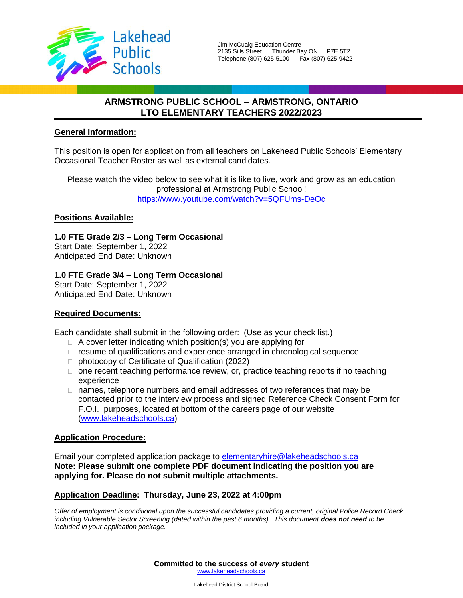

# **ARMSTRONG PUBLIC SCHOOL – ARMSTRONG, ONTARIO LTO ELEMENTARY TEACHERS 2022/2023**

## **General Information:**

This position is open for application from all teachers on Lakehead Public Schools' Elementary Occasional Teacher Roster as well as external candidates.

Please watch the video below to see what it is like to live, work and grow as an education professional at Armstrong Public School! <https://www.youtube.com/watch?v=5QFUms-DeOc>

## **Positions Available:**

**1.0 FTE Grade 2/3 – Long Term Occasional** Start Date: September 1, 2022 Anticipated End Date: Unknown

**1.0 FTE Grade 3/4 – Long Term Occasional**

Start Date: September 1, 2022 Anticipated End Date: Unknown

# **Required Documents:**

Each candidate shall submit in the following order: (Use as your check list.)

- $\Box$  A cover letter indicating which position(s) you are applying for
- $\Box$  resume of qualifications and experience arranged in chronological sequence
- □ photocopy of Certificate of Qualification (2022)
- $\Box$  one recent teaching performance review, or, practice teaching reports if no teaching experience
- $\Box$  names, telephone numbers and email addresses of two references that may be contacted prior to the interview process and signed Reference Check Consent Form for F.O.I. purposes, located at bottom of the careers page of our website [\(www.lakeheadschools.ca\)](http://www.lakeheadschools.ca/)

### **Application Procedure:**

Email your completed application package to [elementaryhire@lakeheadschools.ca](mailto:elementaryhire@lakeheadschools.ca) **Note: Please submit one complete PDF document indicating the position you are applying for. Please do not submit multiple attachments.**

### **Application Deadline: Thursday, June 23, 2022 at 4:00pm**

*Offer of employment is conditional upon the successful candidates providing a current, original Police Record Check including Vulnerable Sector Screening (dated within the past 6 months). This document does not need to be included in your application package.*

> **Committed to the success of** *every* **student** [www.lakeheadschools.ca](http://www.lakeheadschools.ca/)